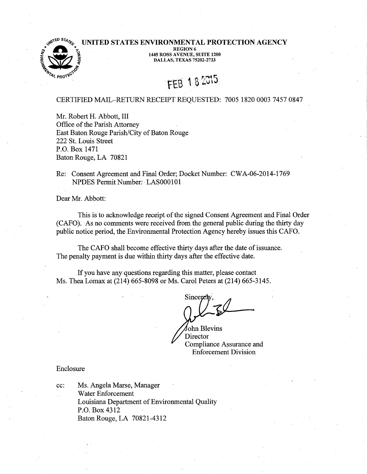# $\bullet$ <sup>3 STAT</sup>ED STATES ENVIRONMENTAL PROTECTION AGENCY REGION 6<br>  $^{1445}$  ROSS AVENUE, SUITE 1200<br>  $^{1445}$  ROSS AVENUE, SUITE 1200<br>
DALLAS, TEXAS 75202-2733



# FEB 182015

# CERTIFIED MAIL-RETURN RECEIPT REQUESTED: 7005 1820 0003 7457 0847

Mr. Robert H. Abbott, III Office of the Parish Attorney East Baton Rouge Parish/City of Baton Rouge 222 St. Louis Street P.O. Box 1471 Baton Rouge, LA 70821

Re: Consent Agreement and Final Order; Docket Number: CWA-06-2014~1769 NPDES Permit Number:· LAS000101

Dear Mr. Abbott:

This is to acknowledge receipt of the signed Consent Agreement and Final Order (CAFO). As no comments were received from the general public during the thirty day public notice period, the Envirorimental Protection Agency hereby issues this CAFO.

The CAFO shall become effective thirty days after the date of issuance. The penalty payment is due within thirty days after the effective date.

If you have any questions regarding this matter, please contact Ms. Thea Lomax at (214) 665-8098 or Ms. Carol Peters at (214) 665-3145.

Sincer

fohn Blevins **Director** Compliance Assurance and Enforcement Division

#### Enclosure

cc: Ms. Angela Marse, Manager Water Enforcement Louisiana Department of Environmental Quality P.O. Box 4312 Baton Rouge, LA 70821-4312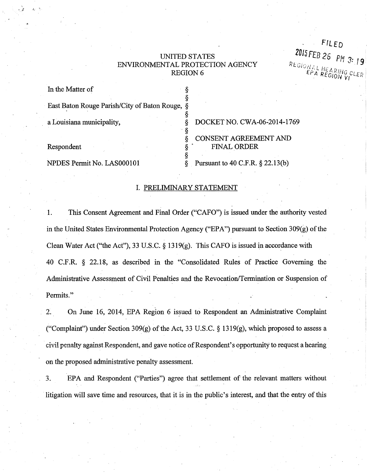# UNITED STATES ENVIRONMENTAL PROTECTION AGENCY **REGION6**

§

•§

FILED 2015 FEB 26 PM 3: 19  $\frac{1}{2}$   $\frac{1}{2}$   $\frac{1}{2}$   $\frac{1}{2}$   $\frac{1}{2}$   $\frac{1}{2}$   $\frac{1}{2}$   $\frac{1}{2}$   $\frac{1}{2}$   $\frac{1}{2}$   $\frac{1}{2}$   $\frac{1}{2}$   $\frac{1}{2}$   $\frac{1}{2}$   $\frac{1}{2}$   $\frac{1}{2}$   $\frac{1}{2}$   $\frac{1}{2}$   $\frac{1}{2}$   $\frac{1}{2}$   $\frac{1}{2}$   $\frac{1}{2}$   $P_{A}$  REGION VI  $CLE_R$ 

In the Matter of

'. *,:* ......

East Baton Rouge Parish/City of Baton Rouge, §

a Louisiana municipality, § DOCKET NO. CWA-06-2014-1769 § CONSENT AGREEMENT AND Respondent  $\S$  FINAL ORDER

NPDES Permit No. LAS000101 § Pursuant to 40 C.F.R. § 22.13(b)

# I. PRELIMINARY STATEMENT

§

1. This Consent Agreement and Final Order ("CAFO") is issued under the authority vested in the United States Environmental Protection Agency {"EPA") pursuant to Section 309(g) of the Clean Water Act ("the Act"), 33 U.S.C. § 1319(g). This CAFO is issued in accordance with 40 C.F.R. § 22.18, as described in the "Consolidated Rules of Practice Governing the Administrative Assessment of Civil Penalties and the Revocation/Termination or Suspension of Permits."

2. On June 16, 2014, EPA Region 6 issued to Respondent an Administrative Complaint ("Complaint") under Section 309(g) of the Act, 33 U.S.C.  $\S$  1319(g), which proposed to assess a civil penalty against Respondent, and gave notice of Respondent's opportunity to request a hearing on the proposed administrative penalty assessment.

3. EPA and Respondent ("Parties") agree that settlement of the relevant matters without litigation will save time and resources, that it is in the public's interest, and that the entry of this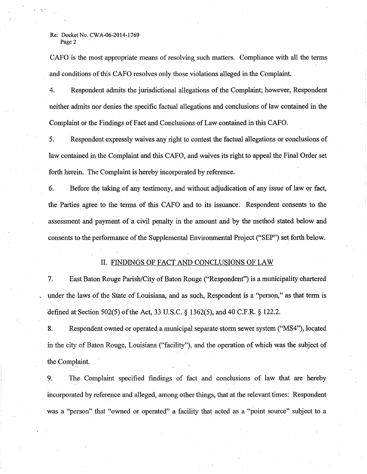CAFO is the most appropriate means of resolving such matters. Compliance with all the terms and conditions of this CAFO resolves only those violations alleged in the Complaint.

4. Respondent admits the jurisdictional allegations of the Complaint; however, Respondent neither admits nor denies the specific factual allegations and conclusions of law contained in the Complaint or the Findings of Fact and Conclusions of Law contained in this CAFO.

5. Respondent expressly waives any right to contest the factual allegations or conclusions of law contained in the Complaint and this CAFO, and waives its right to appeal the Final Order set forth herein. The Complaint is hereby incorporated by reference.

6. Before the taking of any testimony, and without adjudication of any issue of law or fact, the Parties agree to the terms of this CAFO and to its issuance. Respondent consents to the assessment and payment of a civil penalty in the amount and by the method stated below and consents to the performance of the Supplemental Environmental Project ("SEP") set forth below.

### II. FINDINGS OF FACT AND CONCLUSIONS OF LAW

7. East Baton Rouge Parish/City of Baton Rouge ("Respondent") is a municipality chartered . under the laws of the State of Louisiana, and as such, Respondent is a "person," as that term is ·defined at Section 502(5) of the Act, 33 U.S. C. § 1362(5), and 40 C.F.R. § 122.2.

8. Respondent owned or operated a municipal separate storm sewer system ("MS4"), located in the city of Baton Rouge, Louisiana ("facility"), and the operation of which was the subject of the Complaint.

9. The Complaint specified findings of fact and conclusions of law that are hereby incorporated by reference and alleged, among other things, that at the relevant times: Respondent was a "person" that "owned or operated" a facility that acted as a "point source" subject to a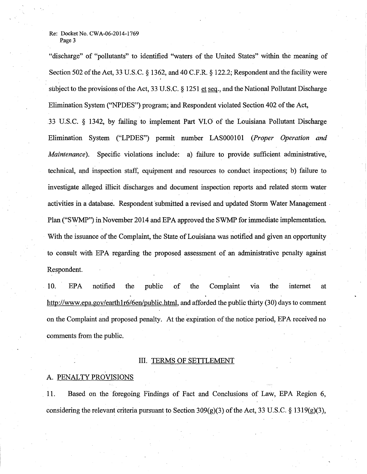"discharge" of "pollutants" to identified "waters of the United States" within the meaning of Section 502 of the Act, 33 U.S.C. § 1362, and 40 C.F.R. § 122.2; Respondent and the facility were subject to the provisions of the Act, 33 U.S.C. § 1251 et seq., and the National Pollutant Discharge Elimination System ("NPDES") program; and Respondent violated Section 402 of the Act, 33 U.S.C. § 1342, by failing to implement Part VI.O of the Louisiana Pollutant Discharge Elimination System ("LPDES") permit number LAS000101 *(Proper Operation and Maintenance*). Specific violations include: a) failure to provide sufficient administrative, technical, and inspection staff, equipment and resources to conduct inspections; b) failure to investigate alleged illicit discharges and document inspection reports and related storm water activities in a database. Respondent 'submitted a revised and updated Storm Water Management . Plan ("SWMP") in November 2014 and EPA approved the SWMP for immediate implementation. With the issuance of the Complaint, the State of Louisiana was notified and given an opportunity to consult with EPA regarding the proposed assessment of an administrative penalty against Respondent.

10. EPA notified the public of the Complaint via the internet at http://www.epa.gov/earth1r6/6en/public.html, and afforded the public thirty (30) days to comment on the Complaint and proposed penalty. At the expiration of the notice period, EPA received no comments from the public.

# III. TERMS OF SETTLEMENT

# A. PENALTY PROVISIONS

11. Based on the foregoing Findings of Fact and Conclusions of Law, EPA Region 6, considering the relevant criteria pursuant to Section 309(g)(3) of the Act, 33 U.S.C. § 1319(g)(3),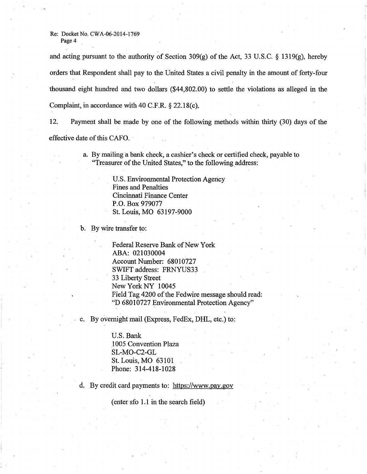# Re: Docket No. CWA-06-2014-1769

Page 4

and acting pursuant to the authority of Section 309 $(g)$  of the Act, 33 U.S.C. § 1319 $(g)$ , hereby orders that Respondent shall pay to the United States a civil penalty in the amount of forty-four thousand eight hundred and two dollars (\$44,802.00) to settle the violations as alleged in the Complaint, in accordance with 40 C.F.R.  $\S$  22.18(c).

12. Payment shall be made by one of the following methods within thirty (30) days of the effective date of this CAFO.

> a. By mailing a bank check, a cashier's check or certified check, payable to "Treasurer of the United States," to the following address:

> > U.S. Environmental Protection Agency Fines and Penalties Cincinnati Finance Center P.O. Box 979077 St. Louis, MO 63197-9000

b. By wire transfer to:

Federal Reserve Bank of New York ABA: 021030004 Account Number: 68010727 SWIFT address: FRNYUS33 33 Liberty Street New York NY 10045 Field Tag 4200 of the Fedwire message should read: "D 68010727 Environmental Protection Agency"

c. By overnight mail (Express, FedEx, DHL, etc.) to:

U.S. Bank .1005 Convention Plaza SL-MO-C2-GL St. Louis, MO 63101 Phone: 314-418-1028

d. By credit card payments to: https://www.pay.gov

 $($ enter sfo  $1.1$  in the search field $)$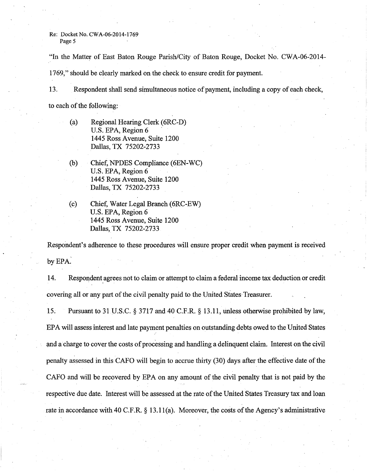"In the Matter of East Baton Rouge Parish/City of Baton Rouge, Docket No. CWA-06-2014-

1769," should be clearly marked on the check to ensure credit for payment.

13. Respondent shall send simultaneous notice of payment, including a copy of each check, to each of the following:

- (a) Regional Hearing Clerk (6RC-D) U.S. EPA, Region 6 1445 Ross Avenue, Suite 1200 Dallas, TX 75202-2733
- (b) Chief, NPDES Compliance (6EN-WC) U.S. EPA, Region 6 1445 Ross Avenue, Suite 1200 Dallas, TX 75202-2733
- (c) Chief, Water Legal Branch (6RC-EW) U.S. EPA, Region 6 1445 Ross Avenue, Suite 1200 Dallas, TX 75202-2733

Respondent's adherence to these procedures will ensure proper credit when payment is received by EPA.

14. Respondent agrees not to claim or attempt to claim a federal income tax deduction or credit covering all or any part of the civil penalty paid to the United States Treasurer.

15. Pursuant to 31 U.S.C. § 3717 and 40 C.P.R.§ 13.11, unless otherwise prohibited by law~ EPA will assess interest and late payment penalties on outstanding debts owed to the United States and a charge to cover the costs of processing and handling a delinquent claim. Interest on the civil penalty assessed in this CAFO will begin to accrue thirty (30) days after the effective date of the CAFO and will be recovered by EPA on any amount of the civil penalty that is not paid by the respective due date. Interest will be assessed at the rate of the United States Treasury tax and loan rate in accordance with 40 C.P.R. § 13.11(a). Moreover, the costs of the Agency's administrative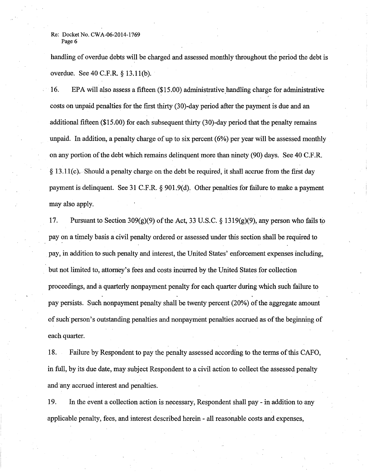handling of overdue debts will be charged and assessed monthly throughout the period the debt is overdue. See 40 C.F.R. § 13.1l(b).

16. EPA will also assess a fifteen (\$15.00) administrative handling charge for administrative costs on unpaid penalties for the first thirty (30)-day period after the payment is due and an additional fifteen (\$15.00) for each subsequent thirty (30)-day period that the penalty remains unpaid. In addition, a penalty charge of up to six percent (6%) per year will be assessed monthly on any portion of the debt which remains delinquent more than ninety (90) days. See 40 C.F.R.  $§$  13.11(c). Should a penalty charge on the debt be required, it shall accrue from the first day payment is delinquent. See 31 C.F.R. § 901.9(d). Other penalties for failure to make a payment may also apply.

17. Pursuant to Section 309(g)(9) of the Act, 33 U.S.C. § 1319(g)(9), any person who fails to pay on a timely basis a civil penalty ordered or assessed under this section shall be required to pay, in addition to such penalty and interest, the United States' enforcement expenses including, but not limited to, attorney's fees and costs incurred by the United States for collection proceedings, and a quarterly nonpayment penalty for each quarter during which such failure to pay persists. Such nonpayment penalty shall be twenty percent (20%) of the aggregate amount of such· person's outstanding penalties and nonpayment penalties accrued as of the beginning of each quarter.

18. Failure by Respondent to pay the penalty assessed according to the terms of this CAFO, in full, by its due date, may subject Respondent to a civil action to collect the assessed penalty and any accrued interest and penalties.

19. In the event a collection action is necessary, Respondent shall pay- in addition to any applicable penalty, fees, and interest described herein- all reasonable costs and expenses,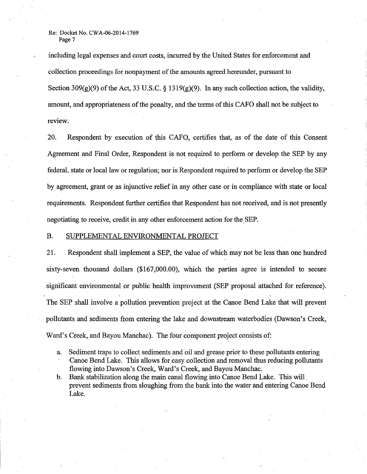including legal expenses and court costs, incurred by the United States for enforcement and collection proceedings for nonpayment of the amounts agreed hereunder, pursuant to Section 309(g)(9) of the Act, 33 U.S.C. § 1319(g)(9). In any such collection action, the validity, amount, and appropriateness ofthe penalty, and the terms of this CAFO shall not be subject to review.

20. Respondent by execution of this CAFO, certifies that, as of the date of this Consent Agreement and Final Order, Respondent is not required to perform or develop the SEP by any federal, state or local law or regulation; nor is Respondent required to perform or develop-the SEP by agreement, grant or as injunctive relief in any other case or in compliance with state or local requirements. Respondent further certifies that Respondent has not received, and is not presently negotiating to receive, credit in any other enforcement action for the SEP.

#### B. SUPPLEMENTAL ENVIRONMENTAL PROJECT

21. Respondent shall implement a SEP, the value of which may not be less than one hundred sixty-seven thousand dollars (\$167,000.00), which the parties agree is intended to secure significant environmental or public health improvement (SEP proposal attached for reference). The SEP shall involve a pollution prevention project at the Canoe Bend Lake that will prevent pollutants and sediments from entering the lake and downstream waterbodles (Dawson's Creek, Ward's Creek, and Bayou Manchac). The four component project consists of:

- a. Sediment traps to collect sediments and oil and grease prior to these pollutants entering Canoe Bend Lake. This allows for easy collection and removal thus reducing pollutants flowing into Dawson's Creek, Ward's Creek, and Bayou Manchac.
- b. Bank stabilization along the main canal flowing into Canoe Bend Lake. This will. prevent sediments from sloughing from the bank into the water and entering Canoe Bend Lake.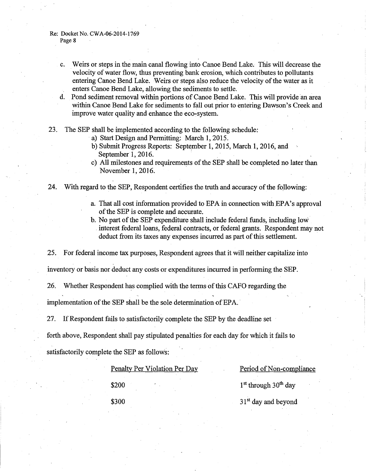- c. Weirs or steps in the main canal flowing into Canoe Bend Lake. This will decrease the velocity of water flow, thus preventing bank erosion, which contributes to pollutants entering Canoe Bend Lake. Weirs or steps also reduce the velocity of the water as it enters Canoe Bend Lake, allowing the sediments to settle.
- d. Pond sediment removal within portions of Canoe Bend Lake. This will provide an area within Canoe Bend Lake for sediments to fall out prior to entering Dawson's Creek and improve water quality and enhance the eco-system.
- 23. The SEP shall be implemented according to the following schedule:
	- a) Start Design and Permitting: March 1, 2015.
	- b) Submit Progress Reports: September 1, 2015, March 1, 2016, and September 1, 2016.
	- c) All milestones and requirements of the SEP shall be completed no later than November 1, 2016.
- 24. With regard to the SEP, Respondent certifies the truth and accuracy of the following:
	- a. That all cost information provided to EPA in connection with EPA's approval of the SEP is complete and accurate.
	- b. No part of the SEP expenditure shall include federal funds, including low . interest federal loans, federal contracts, or federal grants. Respondent may not deduct from its taxes any expenses incurred as part of this settlement.

25. For federal income tax purposes, Respondent agrees that it will neither capitalize into

inventory or basis nor deduct any costs or expenditures incurred in performing the SEP.

26. Whether Respondent has complied with the terms of this CAFO regarding the

implementation of the SEP shall be the sole determination of EPA. ·

27. If Respondent fails to satisfactorily complete the SEP by the deadline set

forth above, Respondent shall pay stipulated penalties for each day for which it fails to

satisfactorily complete the SEP as follows:

Penalty Per Violation Per Day Period of Non-compliance

 $\$200$  1<sup>st</sup> through 30<sup>th</sup> day

 $$300$  31<sup>st</sup> day and beyond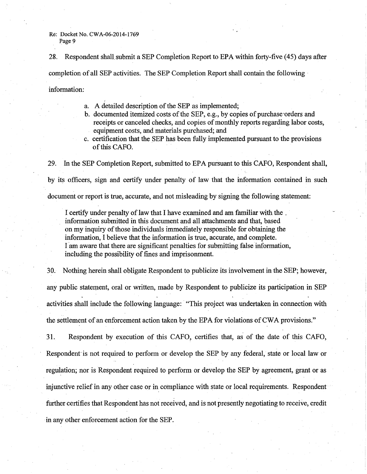28. Respondent shall submit a SEP Completion Report to EPA within forty-five (45) days after completion of all SEP activities. The SEP Completion Report shall contain the following · information:

- a. A detailed description of the SEP as implemented;
- b. documented itemized costs of the SEP, e.g., by copies of purchase orders and receipts or canceled checks, and copies of monthly reports regarding labor costs, equipment costs, and materials purchased; and
- c. certification that the SEP has been fully implemented pursuant to the provisions ofthis CAFO.

29. In the SEP Completion Report, submitted to EPA pursuant to this CAFO, Respondent shall, by its officers, sign and certify under penalty of law that the information contained in such document or report is true, accurate, and not misleading by signing the following statement:

I certify under penalty of law that I have examined and am familiar with the . information submitted in this document and all attachments and that, based on my inquiry of those individuals immediately responsible for obtaining the information, I believe that the information is true, accurate, and complete. I am aware that there are significant penalties for submitting false. information, including the possibility of fines and imprisonment.

30. Nothing herein shall obligate Respondent to publicize its involvement in the SEP; however, any public statement, oral or written, made by Respondent to publicize its participation in SEP activities shall include the following language: "This project was undertaken in connection with the settlement of an enforcement action taken by the EPA for violations of CWA provisions."

31. Respondent by execution of this CAFO, certifies that, as· of the date of this CAFO, Respondent is not required to perform or develop the SEP by any federal, state or local law or regulation; nor is Respondent required to perform or develop the SEP by agreement, grant or as injunctive relief in any other case or in compliance with state or local requirements. Respondent further certifies that Respondent has not received, and is not presently negotiating to receive, credit in any other enforcement action for the SEP.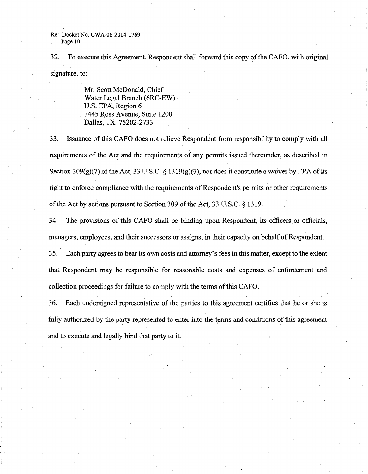32. To execute this Agreement, Respondent shall forward this copy of the CAFO, with original signature, to:

> Mr. Scott McDonald, Chief Water Legal Branch (6RC-EW) · U.S. EPA, Region 6 1445 Ross Avenue, Suite 1200 Dallas, TX 75202-2733

33. Issuance ofthisCAFO does not relieve Respondent from responsibility to comply with all requirements of the Act and the requirements of any permits issued thereunder, as described in Section 309(g)(7) of the Act, 33 U.S.C. § 1319(g)(7), nor does it constitute a waiver by EPA of its right to enforce compliance with the requirements of Respondent's permits or other requirements of the Act by actions pursuant to Section 309 of the Act, 33 U.S.C. § 1319.

34. The provisions of this CAFO shall be binding upon Respondent, its officers or officials, managers, employees, and their successors or assigns, in their capacity on behalf of Respondent.

35. Each party agrees to bear its own costs and attorney's fees in this matter, except to the extent that Respondent may be responsible for reasonable costs and expenses of enforcement and collection proceedings for failure to comply with the terms of this CAFO.

36. Each undersigned representative of the parties to this agreement certifies that he or she is fully authorized by the party represented to enter into the terms and conditions of this agreement and to execute and legally bind that party to it.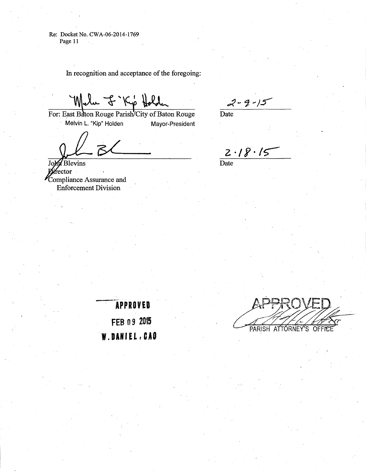In recognition and acceptance of the foregoing:

Melu J . Kio Hold

For: East Baton Rouge Parish/City of Baton Rouge Melvin L. "Kip" Holden Mayor-President

 $2 - 9 - 15$ Date

Blevins Jol rector<br>\* Compliance Assurance and Enforcement Division

 $2.18.15$ 

**Date** 

 $\overline{APPROVED}$ **FEB o 9 <sup>2015</sup>** W. DANIEL, CAO

PARISH ATTORNEY'S OFFICE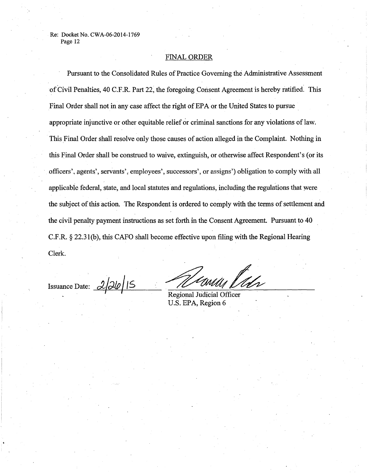# FINAL ORDER

Pursuant to the Consolidated Rules of Practice Governing the Administrative Assessment of Civil Penalties, 40 C.F .R. Part 22, the foregoing Consent Agreement is hereby ratified: This Final Order shall not in any case affect the right of EPA or the United States to pursue appropriate injunctive or other equitable relief or criminal sanctions for any violations of law. This Final Order shall resolve only those causes of action alleged in the Complaint. Nothing in this Final Order shall be construed to waive, extinguish, or otherwise affect Respondent's (or its officers', agents', servants', employees', successors', or assigns') obligation to comply with all applicable federal, state, and local statutes and regulations, including the regulations that were the subject of this action. The Respondent is ordered to comply with the terms of settlement and the civil penalty payment instructions as set forth in the Consent Agreement. Pursuant to 40 C.F .R. § 22.31 (b), this CAPO shall become effective upon filing with the Regional Hearing Clerk.

Issuance Date: <u>2/26/15</u>

u Viés

Regional Judicial Officer U.S. EPA, Region 6